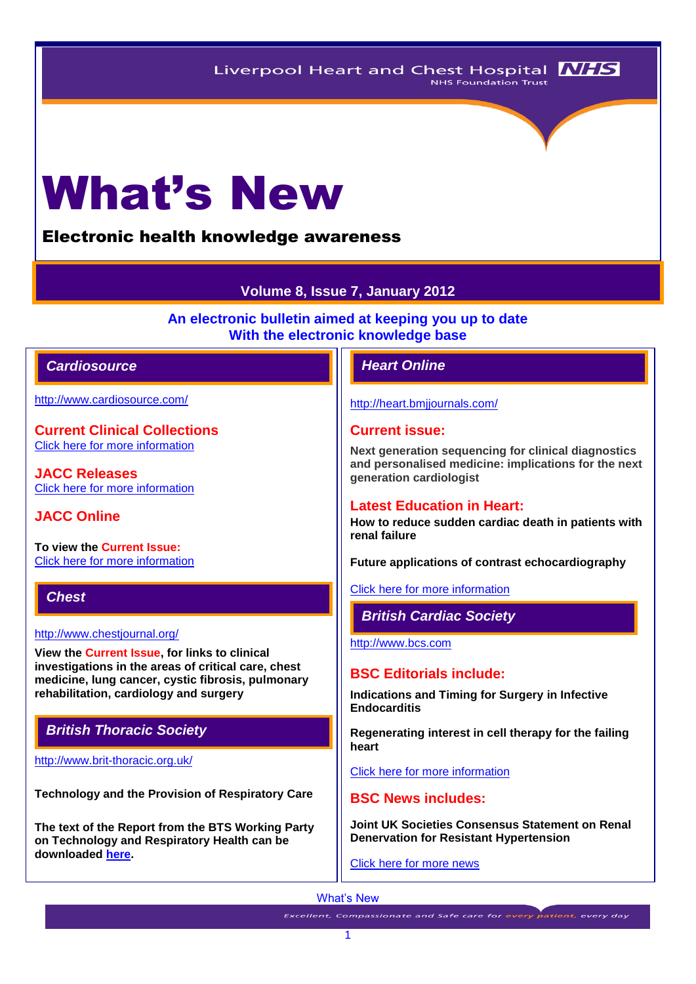# What's New

# Electronic health knowledge awareness

# **Volume 8, Issue 7, January 2012**

**An electronic bulletin aimed at keeping you up to date With the electronic knowledge base**

## *Cardiosource Heart Online*

<http://www.cardiosource.com/>

**Current Clinical Collections** [Click here for more information](http://www.cardiosource.org/science-and-quality/clinical-collections.aspx)

**JACC Releases** [Click here for more information](http://www.cardiosource.org/news-media/media-center/jacc-releases.aspx)

**JACC Online**

**To view the Current Issue:** [Click here for more information](http://content.onlinejacc.org/current.dtl)

*Chest* 

#### <http://www.chestjournal.org/>

**View the Current Issue, for links to clinical investigations in the areas of critical care, chest medicine, lung cancer, cystic fibrosis, pulmonary rehabilitation, cardiology and surgery**

# *British Thoracic Society*

<http://www.brit-thoracic.org.uk/>

**Technology and the Provision of Respiratory Care** 

**The text of the Report from the BTS Working Party on Technology and Respiratory Health can be downloaded [here.](http://www.brit-thoracic.org.uk/Portals/0/Delivery%20of%20RespCare/Technology%20Working%20Party%20ReportFinalJAN2012%202.pdf)**

<http://heart.bmjjournals.com/>

#### **Current issue:**

**Next generation sequencing for clinical diagnostics and personalised medicine: implications for the next generation cardiologist**

#### **Latest Education in Heart:**

**How to reduce sudden cardiac death in patients with renal failure**

**Future applications of contrast echocardiography**

[Click here for more information](http://heart.bmj.com/content/current)

#### *British Cardiac Society*

[http://www.bcs.com](http://www.bcs.com/)

#### **BSC Editorials include:**

**Indications and Timing for Surgery in Infective Endocarditis**

**Regenerating interest in cell therapy for the failing heart**

[Click here for more information](http://www.bcs.com/editorial/editorial.asp)

#### **BSC News includes:**

**Joint UK Societies Consensus Statement on Renal Denervation for Resistant Hypertension**

[Click here for more news](http://www.bcs.com/pages/news_all.asp?NewsCatID=866)

#### What's New

**Excellent, Compassionate and Safe care for every patient, every day**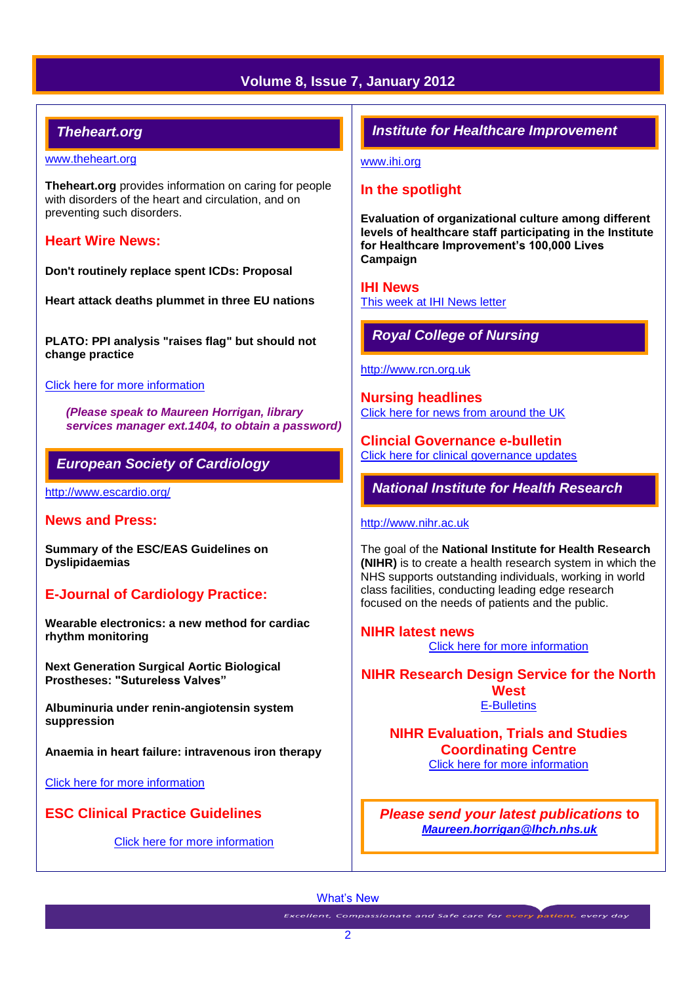# **Volume 8, Issue 7, January 2012**

# *Theheart.org*

#### [www.theheart.org](http://www.theheart.org/)

**Theheart.org** provides information on caring for people with disorders of the heart and circulation, and on preventing such disorders.

#### **Heart Wire News:**

**Don't routinely replace spent ICDs: Proposal**

**Heart attack deaths plummet in three EU nations**

**PLATO: PPI analysis "raises flag" but should not change practice** 

#### [Click here for more information](http://www.theheart.org/section/heartwire.do)

*(Please speak to Maureen Horrigan, library services manager ext.1404, to obtain a password)*

# *European Society of Cardiology*

<http://www.escardio.org/>

#### **News and Press:**

**Summary of the ESC/EAS Guidelines on Dyslipidaemias**

# **E-Journal of Cardiology Practice:**

**Wearable electronics: a new method for cardiac rhythm monitoring**

**Next Generation Surgical Aortic Biological Prostheses: "Sutureless Valves"**

**Albuminuria under renin-angiotensin system suppression**

**Anaemia in heart failure: intravenous iron therapy**

[Click here for more information](http://www.escardio.org/COMMUNITIES/COUNCILS/CCP/E-JOURNAL/Pages/welcome.aspx)

# **ESC Clinical Practice Guidelines**

[Click here for more information](http://www.escardio.org/guidelines-surveys/esc-guidelines/Pages/ACS-non-ST-segment-elevation.aspx)

# *Institute for Healthcare Improvement*

[www.ihi.org](http://www.ihi.org/)

# **In the spotlight**

**Evaluation of organizational culture among different levels of healthcare staff participating in the Institute for Healthcare Improvement's 100,000 Lives Campaign**

**IHI News**  [This week at IHI News letter](http://www.ihi.org/Documents/ThisWeekatIHI.htm) 

# *Royal College of Nursing*

[http://www.rcn.org.uk](http://www.rcn.org.uk/)

**Nursing headlines** [Click here for news from around the UK](http://www.rcn.org.uk/newsevents/news)

**Clincial Governance e-bulletin** [Click here for clinical governance updates](http://www.rcn.org.uk/development/practice/clinical_governance/updates)

*National Institute for Health Research* 

#### [http://www.nihr.ac.uk](http://www.nihr.ac.uk/)

The goal of the **National Institute for Health Research (NIHR)** is to create a health research system in which the NHS supports outstanding individuals, working in world class facilities, conducting leading edge research focused on the needs of patients and the public.

**NIHR latest news** [Click here for more information](http://www.nihr.ac.uk/news/Pages/default.aspx)

**NIHR Research Design Service for the North West** [E-Bulletins](http://www.rds-nw.nihr.ac.uk/newstrainingevents/ebulletin.php)

**NIHR Evaluation, Trials and Studies Coordinating Centre** [Click here for more information](http://www.netscc.ac.uk/hsdr/?scr=hsdr_rds_sep11) 

*Please send your latest publications* **to**  *[Maureen.horrigan@lhch.nhs.uk](mailto:Maureen.horrigan@lhch.nhs.uk)*

What's New

**Excellent, Compassionate and Safe care for every patient, every day**